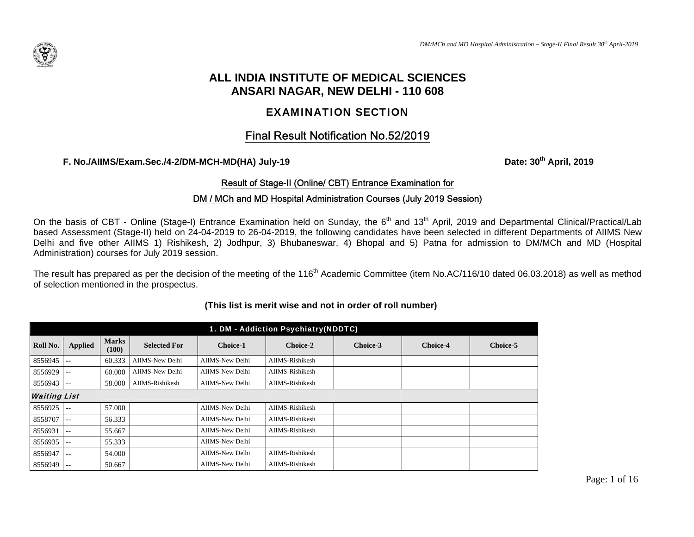

# **ALL INDIA INSTITUTE OF MEDICAL SCIENCES ANSARI NAGAR, NEW DELHI - 110 608**

# EXAMINATION SECTION

# Final Result Notification No.52/2019

**F. No./AIIMS/Exam.Sec./4-2/DM-MCH-MD(HA) July-19 Date: 30th April, 2019**

## Result of Stage-II (Online/ CBT) Entrance Examination for

## DM / MCh and MD Hospital Administration Courses (July 2019 Session)

On the basis of CBT - Online (Stage-I) Entrance Examination held on Sunday, the 6<sup>th</sup> and 13<sup>th</sup> April, 2019 and Departmental Clinical/Practical/Lab based Assessment (Stage-II) held on 24-04-2019 to 26-04-2019, the following candidates have been selected in different Departments of AIIMS New Delhi and five other AIIMS 1) Rishikesh, 2) Jodhpur, 3) Bhubaneswar, 4) Bhopal and 5) Patna for admission to DM/MCh and MD (Hospital Administration) courses for July 2019 session.

The result has prepared as per the decision of the meeting of the 116<sup>th</sup> Academic Committee (item No.AC/116/10 dated 06.03.2018) as well as method of selection mentioned in the prospectus.

| 1. DM - Addiction Psychiatry(NDDTC) |                          |                       |                     |                 |                 |          |                 |          |  |  |
|-------------------------------------|--------------------------|-----------------------|---------------------|-----------------|-----------------|----------|-----------------|----------|--|--|
| Roll No.                            | <b>Applied</b>           | <b>Marks</b><br>(100) | <b>Selected For</b> | <b>Choice-1</b> | Choice-2        | Choice-3 | <b>Choice-4</b> | Choice-5 |  |  |
| 8556945                             | $\overline{\phantom{a}}$ | 60.333                | AIIMS-New Delhi     | AIIMS-New Delhi | AIIMS-Rishikesh |          |                 |          |  |  |
| 8556929                             | $ -$                     | 60.000                | AIIMS-New Delhi     | AIIMS-New Delhi | AIIMS-Rishikesh |          |                 |          |  |  |
| 8556943                             | $ -$                     | 58.000                | AIIMS-Rishikesh     | AIIMS-New Delhi | AIIMS-Rishikesh |          |                 |          |  |  |
| <b>Waiting List</b>                 |                          |                       |                     |                 |                 |          |                 |          |  |  |
| 8556925                             | $-$                      | 57.000                |                     | AIIMS-New Delhi | AIIMS-Rishikesh |          |                 |          |  |  |
| 8558707                             | $- -$                    | 56.333                |                     | AIIMS-New Delhi | AIIMS-Rishikesh |          |                 |          |  |  |
| 8556931                             | $\sim$ $\sim$            | 55.667                |                     | AIIMS-New Delhi | AIIMS-Rishikesh |          |                 |          |  |  |
| 8556935                             | $ -$                     | 55.333                |                     | AIIMS-New Delhi |                 |          |                 |          |  |  |
| 8556947                             | $- -$                    | 54.000                |                     | AIIMS-New Delhi | AIIMS-Rishikesh |          |                 |          |  |  |
| 8556949                             | $\sim$ $\sim$            | 50.667                |                     | AIIMS-New Delhi | AIIMS-Rishikesh |          |                 |          |  |  |

#### **(This list is merit wise and not in order of roll number)**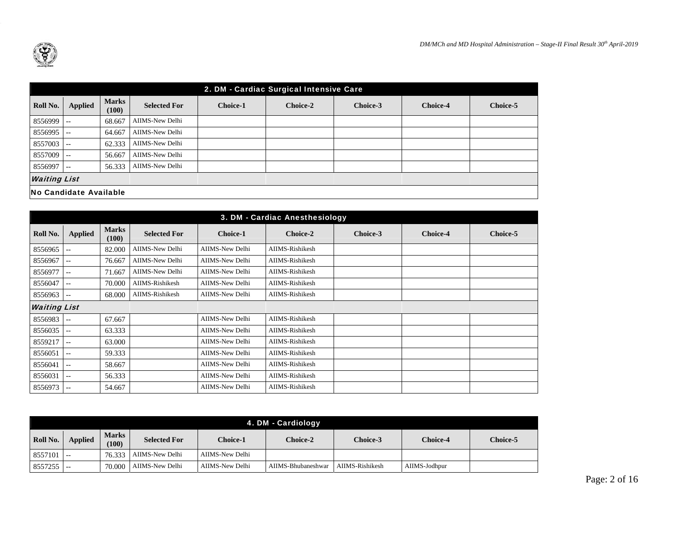

|                               | 2. DM - Cardiac Surgical Intensive Care |                       |                     |                 |          |          |                 |          |  |  |  |  |
|-------------------------------|-----------------------------------------|-----------------------|---------------------|-----------------|----------|----------|-----------------|----------|--|--|--|--|
| Roll No.                      | <b>Applied</b>                          | <b>Marks</b><br>(100) | <b>Selected For</b> | <b>Choice-1</b> | Choice-2 | Choice-3 | <b>Choice-4</b> | Choice-5 |  |  |  |  |
| 8556999                       | $\sim$ $-$                              | 68.667                | AIIMS-New Delhi     |                 |          |          |                 |          |  |  |  |  |
| 8556995                       | $\sim$ $-$                              | 64.667                | AIIMS-New Delhi     |                 |          |          |                 |          |  |  |  |  |
| 8557003                       | l --                                    | 62.333                | AIIMS-New Delhi     |                 |          |          |                 |          |  |  |  |  |
| 8557009                       | $\sim$ $\sim$                           | 56.667                | AIIMS-New Delhi     |                 |          |          |                 |          |  |  |  |  |
| 8556997                       | $- -$                                   | 56.333                | AIIMS-New Delhi     |                 |          |          |                 |          |  |  |  |  |
| <b>Waiting List</b>           |                                         |                       |                     |                 |          |          |                 |          |  |  |  |  |
| <b>No Candidate Available</b> |                                         |                       |                     |                 |          |          |                 |          |  |  |  |  |

| 3. DM - Cardiac Anesthesiology |                |                       |                        |                 |                 |          |                 |          |  |  |
|--------------------------------|----------------|-----------------------|------------------------|-----------------|-----------------|----------|-----------------|----------|--|--|
| Roll No.                       | <b>Applied</b> | <b>Marks</b><br>(100) | <b>Selected For</b>    | <b>Choice-1</b> | Choice-2        | Choice-3 | <b>Choice-4</b> | Choice-5 |  |  |
| 8556965                        | $- -$          | 82.000                | <b>AIIMS-New Delhi</b> | AIIMS-New Delhi | AIIMS-Rishikesh |          |                 |          |  |  |
| 8556967                        | $-1$           | 76.667                | AIIMS-New Delhi        | AIIMS-New Delhi | AIIMS-Rishikesh |          |                 |          |  |  |
| 8556977                        | $- -$          | 71.667                | AIIMS-New Delhi        | AIIMS-New Delhi | AIIMS-Rishikesh |          |                 |          |  |  |
| 8556047                        | $- -$          | 70.000                | AIIMS-Rishikesh        | AIIMS-New Delhi | AIIMS-Rishikesh |          |                 |          |  |  |
| 8556963                        | --             | 68.000                | AIIMS-Rishikesh        | AIIMS-New Delhi | AIIMS-Rishikesh |          |                 |          |  |  |
| <b>Waiting List</b>            |                |                       |                        |                 |                 |          |                 |          |  |  |
| 8556983                        | --             | 67.667                |                        | AIIMS-New Delhi | AIIMS-Rishikesh |          |                 |          |  |  |
| 8556035                        | $\frac{1}{2}$  | 63.333                |                        | AIIMS-New Delhi | AIIMS-Rishikesh |          |                 |          |  |  |
| 8559217                        | $- -$          | 63.000                |                        | AIIMS-New Delhi | AIIMS-Rishikesh |          |                 |          |  |  |
| 8556051                        | $-1$           | 59.333                |                        | AIIMS-New Delhi | AIIMS-Rishikesh |          |                 |          |  |  |
| 8556041                        | $- -$          | 58.667                |                        | AIIMS-New Delhi | AIIMS-Rishikesh |          |                 |          |  |  |
| 8556031                        | --             | 56.333                |                        | AIIMS-New Delhi | AIIMS-Rishikesh |          |                 |          |  |  |
| 8556973                        | $--$           | 54.667                |                        | AIIMS-New Delhi | AIIMS-Rishikesh |          |                 |          |  |  |

|              | 4. DM - Cardiology |                       |                     |                 |                    |                 |               |                 |  |  |  |
|--------------|--------------------|-----------------------|---------------------|-----------------|--------------------|-----------------|---------------|-----------------|--|--|--|
| Roll No.     | <b>Applied</b>     | <b>Marks</b><br>(100) | <b>Selected For</b> | Choice-1        | <b>Choice-2</b>    | Choice-3        | Choice-4      | <b>Choice-5</b> |  |  |  |
| $8557101$ -- |                    | 76.333                | AIIMS-New Delhi     | AIIMS-New Delhi |                    |                 |               |                 |  |  |  |
| 8557255      |                    | 70,000                | AIIMS-New Delhi     | AIIMS-New Delhi | AIIMS-Bhubaneshwar | AIIMS-Rishikesh | AIIMS-Jodhpur |                 |  |  |  |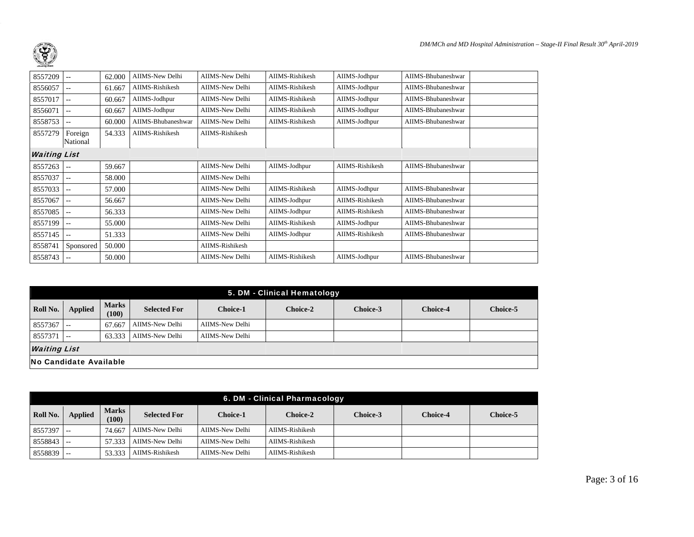| 8557209             | $-$                      | 62.000 | AIIMS-New Delhi    | AIIMS-New Delhi | AIIMS-Rishikesh | AIIMS-Jodhpur   | AIIMS-Bhubaneshwar |  |
|---------------------|--------------------------|--------|--------------------|-----------------|-----------------|-----------------|--------------------|--|
| 8556057             | $\frac{1}{2}$            | 61.667 | AIIMS-Rishikesh    | AIIMS-New Delhi | AIIMS-Rishikesh | AIIMS-Jodhpur   | AIIMS-Bhubaneshwar |  |
| 8557017             | $\frac{1}{2}$            | 60.667 | AIIMS-Jodhpur      | AIIMS-New Delhi | AIIMS-Rishikesh | AIIMS-Jodhpur   | AIIMS-Bhubaneshwar |  |
| 8556071             | $- -$                    | 60.667 | AIIMS-Jodhpur      | AIIMS-New Delhi | AIIMS-Rishikesh | AIIMS-Jodhpur   | AIIMS-Bhubaneshwar |  |
| 8558753             | $\frac{1}{2}$            | 60.000 | AIIMS-Bhubaneshwar | AIIMS-New Delhi | AIIMS-Rishikesh | AIIMS-Jodhpur   | AIIMS-Bhubaneshwar |  |
| 8557279             | Foreign<br>National      | 54.333 | AIIMS-Rishikesh    | AIIMS-Rishikesh |                 |                 |                    |  |
| <b>Waiting List</b> |                          |        |                    |                 |                 |                 |                    |  |
| 8557263             | $\sim$ $\sim$            | 59.667 |                    | AIIMS-New Delhi | AIIMS-Jodhpur   | AIIMS-Rishikesh | AIIMS-Bhubaneshwar |  |
| 8557037             | $\frac{1}{2}$            | 58.000 |                    | AIIMS-New Delhi |                 |                 |                    |  |
| 8557033             | $- -$                    | 57.000 |                    | AIIMS-New Delhi | AIIMS-Rishikesh | AIIMS-Jodhpur   | AIIMS-Bhubaneshwar |  |
| 8557067             | $- -$                    | 56.667 |                    | AIIMS-New Delhi | AIIMS-Jodhpur   | AIIMS-Rishikesh | AIIMS-Bhubaneshwar |  |
| 8557085             | $\frac{1}{2}$            | 56.333 |                    | AIIMS-New Delhi | AIIMS-Jodhpur   | AIIMS-Rishikesh | AIIMS-Bhubaneshwar |  |
| 8557199             | $-$                      | 55.000 |                    | AIIMS-New Delhi | AIIMS-Rishikesh | AIIMS-Jodhpur   | AIIMS-Bhubaneshwar |  |
| 8557145             | $- -$                    | 51.333 |                    | AIIMS-New Delhi | AIIMS-Jodhpur   | AIIMS-Rishikesh | AIIMS-Bhubaneshwar |  |
| 8558741             | Sponsored                | 50.000 |                    | AIIMS-Rishikesh |                 |                 |                    |  |
| 8558743             | $\overline{\phantom{m}}$ | 50.000 |                    | AIIMS-New Delhi | AIIMS-Rishikesh | AIIMS-Jodhpur   | AIIMS-Bhubaneshwar |  |
|                     |                          |        |                    |                 |                 |                 |                    |  |

|                     | 5. DM - Clinical Hematology   |                       |                     |                 |          |          |                 |          |  |  |  |  |
|---------------------|-------------------------------|-----------------------|---------------------|-----------------|----------|----------|-----------------|----------|--|--|--|--|
| Roll No.            | Applied                       | <b>Marks</b><br>(100) | <b>Selected For</b> | <b>Choice-1</b> | Choice-2 | Choice-3 | <b>Choice-4</b> | Choice-5 |  |  |  |  |
| 8557367             | $\sim$ $-$                    | 67.667                | AIIMS-New Delhi     | AIIMS-New Delhi |          |          |                 |          |  |  |  |  |
| 8557371             | $\sim$ $-$                    | 63.333                | AIIMS-New Delhi     | AIIMS-New Delhi |          |          |                 |          |  |  |  |  |
| <b>Waiting List</b> |                               |                       |                     |                 |          |          |                 |          |  |  |  |  |
|                     | <b>No Candidate Available</b> |                       |                     |                 |          |          |                 |          |  |  |  |  |

|              | 6. DM - Clinical Pharmacology |                       |                     |                 |                 |                 |                 |                 |  |  |  |  |
|--------------|-------------------------------|-----------------------|---------------------|-----------------|-----------------|-----------------|-----------------|-----------------|--|--|--|--|
| Roll No.     | <b>Applied</b>                | <b>Marks</b><br>(100) | <b>Selected For</b> | Choice-1        | Choice-2        | <b>Choice-3</b> | <b>Choice-4</b> | <b>Choice-5</b> |  |  |  |  |
| 8557397      | .                             | 74.667                | AIIMS-New Delhi     | AIIMS-New Delhi | AIIMS-Rishikesh |                 |                 |                 |  |  |  |  |
| $8558843$ -- |                               | 57.333                | AIIMS-New Delhi     | AIIMS-New Delhi | AIIMS-Rishikesh |                 |                 |                 |  |  |  |  |
| $8558839$ -- |                               | 53.333                | AIIMS-Rishikesh     | AIIMS-New Delhi | AIIMS-Rishikesh |                 |                 |                 |  |  |  |  |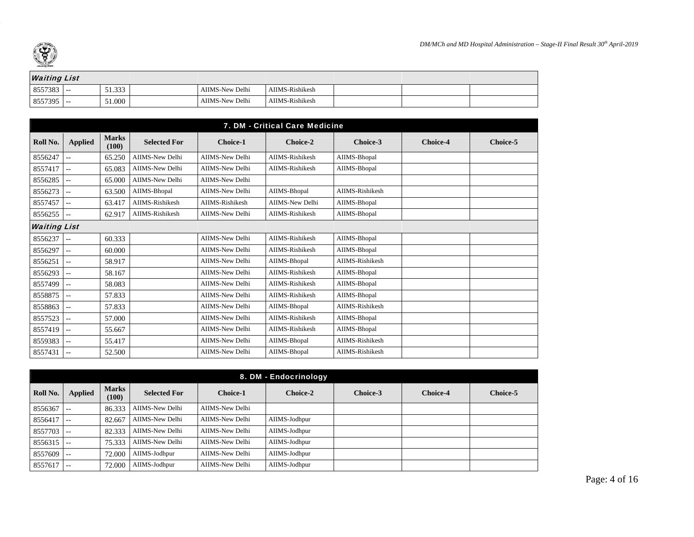

| <b>Waiting List</b> |  |        |  |                 |                 |  |  |
|---------------------|--|--------|--|-----------------|-----------------|--|--|
| $8557383$ --        |  | 51.333 |  | AIIMS-New Delhi | AIIMS-Rishikesh |  |  |
| $8557395$ --        |  | 51.000 |  | AIIMS-New Delhi | AIIMS-Rishikesh |  |  |

|                     | 7. DM - Critical Care Medicine |                       |                        |                        |                 |                 |                 |                 |  |  |  |  |
|---------------------|--------------------------------|-----------------------|------------------------|------------------------|-----------------|-----------------|-----------------|-----------------|--|--|--|--|
| Roll No.            | <b>Applied</b>                 | <b>Marks</b><br>(100) | <b>Selected For</b>    | <b>Choice-1</b>        | Choice-2        | Choice-3        | <b>Choice-4</b> | <b>Choice-5</b> |  |  |  |  |
| 8556247             | $- -$                          | 65.250                | AIIMS-New Delhi        | AIIMS-New Delhi        | AIIMS-Rishikesh | AIIMS-Bhopal    |                 |                 |  |  |  |  |
| 8557417             | $- -$                          | 65.083                | AIIMS-New Delhi        | AIIMS-New Delhi        | AIIMS-Rishikesh | AIIMS-Bhopal    |                 |                 |  |  |  |  |
| 8556285             | --                             | 65.000                | <b>AIIMS-New Delhi</b> | <b>AIIMS-New Delhi</b> |                 |                 |                 |                 |  |  |  |  |
| 8556273             | $- -$                          | 63.500                | AIIMS-Bhopal           | AIIMS-New Delhi        | AIIMS-Bhopal    | AIIMS-Rishikesh |                 |                 |  |  |  |  |
| 8557457             | $-1$                           | 63.417                | AIIMS-Rishikesh        | AIIMS-Rishikesh        | AIIMS-New Delhi | AIIMS-Bhopal    |                 |                 |  |  |  |  |
| 8556255             | --                             | 62.917                | AIIMS-Rishikesh        | <b>AIIMS-New Delhi</b> | AIIMS-Rishikesh | AIIMS-Bhopal    |                 |                 |  |  |  |  |
| <b>Waiting List</b> |                                |                       |                        |                        |                 |                 |                 |                 |  |  |  |  |
| 8556237             | $\sim$ $-$                     | 60.333                |                        | <b>AIIMS-New Delhi</b> | AIIMS-Rishikesh | AIIMS-Bhopal    |                 |                 |  |  |  |  |
| 8556297             | $\sim$ $\sim$                  | 60.000                |                        | <b>AIIMS-New Delhi</b> | AIIMS-Rishikesh | AIIMS-Bhopal    |                 |                 |  |  |  |  |
| 8556251             | $\overline{a}$                 | 58.917                |                        | <b>AIIMS-New Delhi</b> | AIIMS-Bhopal    | AIIMS-Rishikesh |                 |                 |  |  |  |  |
| 8556293             | $- -$                          | 58.167                |                        | AIIMS-New Delhi        | AIIMS-Rishikesh | AIIMS-Bhopal    |                 |                 |  |  |  |  |
| 8557499             | --                             | 58.083                |                        | AIIMS-New Delhi        | AIIMS-Rishikesh | AIIMS-Bhopal    |                 |                 |  |  |  |  |
| 8558875             | --                             | 57.833                |                        | AIIMS-New Delhi        | AIIMS-Rishikesh | AIIMS-Bhopal    |                 |                 |  |  |  |  |
| 8558863             | $- -$                          | 57.833                |                        | <b>AIIMS-New Delhi</b> | AIIMS-Bhopal    | AIIMS-Rishikesh |                 |                 |  |  |  |  |
| 8557523             | --                             | 57.000                |                        | <b>AIIMS-New Delhi</b> | AIIMS-Rishikesh | AIIMS-Bhopal    |                 |                 |  |  |  |  |
| 8557419             | --                             | 55.667                |                        | <b>AIIMS-New Delhi</b> | AIIMS-Rishikesh | AIIMS-Bhopal    |                 |                 |  |  |  |  |
| 8559383             | --                             | 55.417                |                        | AIIMS-New Delhi        | AIIMS-Bhopal    | AIIMS-Rishikesh |                 |                 |  |  |  |  |
| 8557431             | $\sim$ $\sim$                  | 52.500                |                        | AIIMS-New Delhi        | AIIMS-Bhopal    | AIIMS-Rishikesh |                 |                 |  |  |  |  |

|              | 8. DM - Endocrinology |                       |                     |                 |                 |          |                 |                 |  |  |  |
|--------------|-----------------------|-----------------------|---------------------|-----------------|-----------------|----------|-----------------|-----------------|--|--|--|
| Roll No.     | <b>Applied</b>        | <b>Marks</b><br>(100) | <b>Selected For</b> | <b>Choice-1</b> | <b>Choice-2</b> | Choice-3 | <b>Choice-4</b> | <b>Choice-5</b> |  |  |  |
| 8556367      | $\sim$ $-$            | 86.333                | AIIMS-New Delhi     | AIIMS-New Delhi |                 |          |                 |                 |  |  |  |
| 8556417      | $\qquad \qquad -$     | 82.667                | AIIMS-New Delhi     | AIIMS-New Delhi | AIIMS-Jodhpur   |          |                 |                 |  |  |  |
| $8557703$ -- |                       | 82.333                | AIIMS-New Delhi     | AIIMS-New Delhi | AIIMS-Jodhpur   |          |                 |                 |  |  |  |
| 8556315      | $\sim$ $\sim$         | 75.333                | AIIMS-New Delhi     | AIIMS-New Delhi | AIIMS-Jodhpur   |          |                 |                 |  |  |  |
| 8557609      | $\qquad \qquad -$     | 72.000                | AIIMS-Jodhpur       | AIIMS-New Delhi | AIIMS-Jodhpur   |          |                 |                 |  |  |  |
| 8557617      | $- -$                 | 72,000                | AIIMS-Jodhpur       | AIIMS-New Delhi | AIIMS-Jodhpur   |          |                 |                 |  |  |  |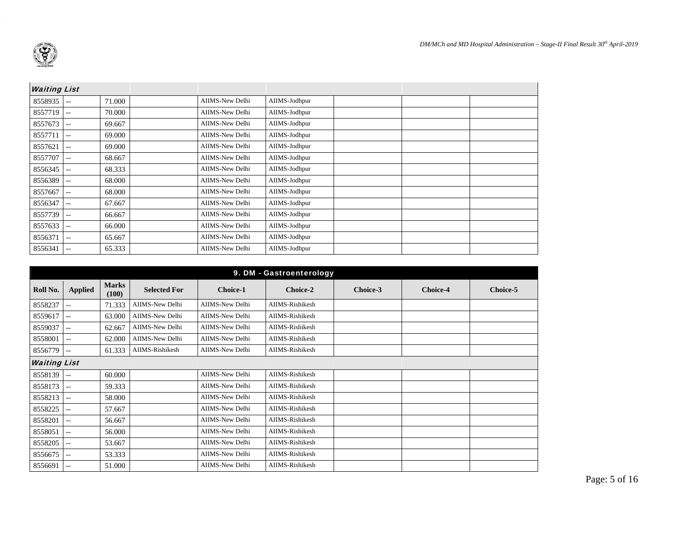

| <b>Waiting List</b> |                          |        |                 |               |  |  |
|---------------------|--------------------------|--------|-----------------|---------------|--|--|
| 8558935             | $-$                      | 71.000 | AIIMS-New Delhi | AIIMS-Jodhpur |  |  |
| 8557719             | $-$                      | 70.000 | AIIMS-New Delhi | AIIMS-Jodhpur |  |  |
| 8557673             | $-$                      | 69.667 | AIIMS-New Delhi | AIIMS-Jodhpur |  |  |
| 8557711             | $-$                      | 69.000 | AIIMS-New Delhi | AIIMS-Jodhpur |  |  |
| 8557621             | $-1$                     | 69.000 | AIIMS-New Delhi | AIIMS-Jodhpur |  |  |
| 8557707             | $-$                      | 68.667 | AIIMS-New Delhi | AIIMS-Jodhpur |  |  |
| 8556345             | $-$                      | 68.333 | AIIMS-New Delhi | AIIMS-Jodhpur |  |  |
| 8556389             | $\frac{1}{2}$            | 68.000 | AIIMS-New Delhi | AIIMS-Jodhpur |  |  |
| 8557667             | $- -$                    | 68.000 | AIIMS-New Delhi | AIIMS-Jodhpur |  |  |
| 8556347             | $-$                      | 67.667 | AIIMS-New Delhi | AIIMS-Jodhpur |  |  |
| 8557739             | $- -$                    | 66.667 | AIIMS-New Delhi | AIIMS-Jodhpur |  |  |
| 8557633             | $\overline{\phantom{m}}$ | 66.000 | AIIMS-New Delhi | AIIMS-Jodhpur |  |  |
| 8556371             | $-$                      | 65.667 | AIIMS-New Delhi | AIIMS-Jodhpur |  |  |
| 8556341             | --                       | 65.333 | AIIMS-New Delhi | AIIMS-Jodhpur |  |  |

| 9. DM - Gastroenterology |                |                       |                        |                        |                 |          |                 |          |  |  |
|--------------------------|----------------|-----------------------|------------------------|------------------------|-----------------|----------|-----------------|----------|--|--|
| Roll No.                 | <b>Applied</b> | <b>Marks</b><br>(100) | <b>Selected For</b>    | <b>Choice-1</b>        | Choice-2        | Choice-3 | <b>Choice-4</b> | Choice-5 |  |  |
| 8558237                  | $- -$          | 71.333                | <b>AIIMS-New Delhi</b> | AIIMS-New Delhi        | AIIMS-Rishikesh |          |                 |          |  |  |
| 8559617                  | $-1$           | 63.000                | <b>AIIMS-New Delhi</b> | AIIMS-New Delhi        | AIIMS-Rishikesh |          |                 |          |  |  |
| 8559037                  | $-1$           | 62.667                | AIIMS-New Delhi        | AIIMS-New Delhi        | AIIMS-Rishikesh |          |                 |          |  |  |
| 8558001                  | $- -$          | 62.000                | AIIMS-New Delhi        | AIIMS-New Delhi        | AIIMS-Rishikesh |          |                 |          |  |  |
| 8556779                  |                | 61.333                | AIIMS-Rishikesh        | AIIMS-New Delhi        | AIIMS-Rishikesh |          |                 |          |  |  |
| <b>Waiting List</b>      |                |                       |                        |                        |                 |          |                 |          |  |  |
| 8558139                  | $\sim$ $-$     | 60.000                |                        | <b>AIIMS-New Delhi</b> | AIIMS-Rishikesh |          |                 |          |  |  |
| 8558173                  | --             | 59.333                |                        | <b>AIIMS-New Delhi</b> | AIIMS-Rishikesh |          |                 |          |  |  |
| 8558213                  | <b>.</b>       | 58.000                |                        | AIIMS-New Delhi        | AIIMS-Rishikesh |          |                 |          |  |  |
| 8558225                  | $-1$           | 57.667                |                        | AIIMS-New Delhi        | AIIMS-Rishikesh |          |                 |          |  |  |
| 8558201                  | $- -$          | 56.667                |                        | AIIMS-New Delhi        | AIIMS-Rishikesh |          |                 |          |  |  |
| 8558051                  | $- -$          | 56.000                |                        | AIIMS-New Delhi        | AIIMS-Rishikesh |          |                 |          |  |  |
| 8558205                  | $- -$          | 53.667                |                        | AIIMS-New Delhi        | AIIMS-Rishikesh |          |                 |          |  |  |
| 8556675                  | $\sim$ $\sim$  | 53.333                |                        | AIIMS-New Delhi        | AIIMS-Rishikesh |          |                 |          |  |  |
| 8556691                  | $\sim$ $\sim$  | 51.000                |                        | AIIMS-New Delhi        | AIIMS-Rishikesh |          |                 |          |  |  |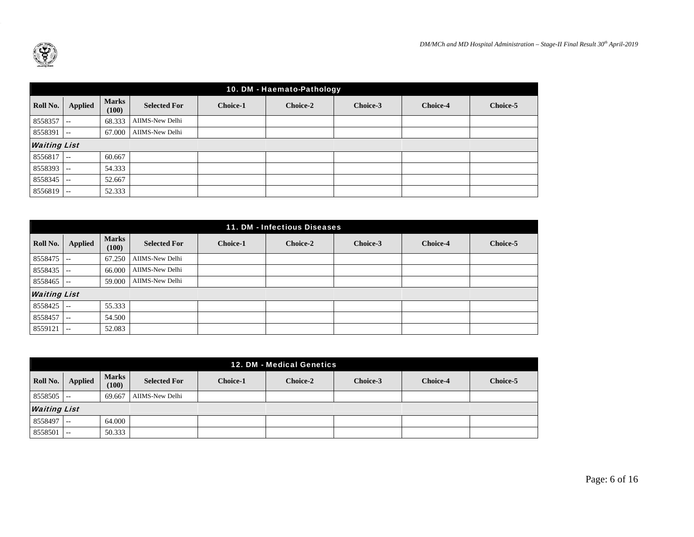

|          | 10. DM - Haemato-Pathology |                       |                     |          |          |          |                 |          |  |  |  |
|----------|----------------------------|-----------------------|---------------------|----------|----------|----------|-----------------|----------|--|--|--|
| Roll No. | <b>Applied</b>             | <b>Marks</b><br>(100) | <b>Selected For</b> | Choice-1 | Choice-2 | Choice-3 | <b>Choice-4</b> | Choice-5 |  |  |  |
| 8558357  | $\sim$ $\sim$              | 68.333                | AIIMS-New Delhi     |          |          |          |                 |          |  |  |  |
| 8558391  | $- -$                      | 67.000                | AIIMS-New Delhi     |          |          |          |                 |          |  |  |  |
|          | <b>Waiting List</b>        |                       |                     |          |          |          |                 |          |  |  |  |
| 8556817  | $\sim$ $-$                 | 60.667                |                     |          |          |          |                 |          |  |  |  |
| 8558393  | $- -$                      | 54.333                |                     |          |          |          |                 |          |  |  |  |
| 8558345  | $--$                       | 52.667                |                     |          |          |          |                 |          |  |  |  |
| 8556819  | $ -$                       | 52.333                |                     |          |          |          |                 |          |  |  |  |

|                     | 11. DM - Infectious Diseases |                       |                     |                 |                 |          |                 |          |  |  |  |
|---------------------|------------------------------|-----------------------|---------------------|-----------------|-----------------|----------|-----------------|----------|--|--|--|
| Roll No.            | <b>Applied</b>               | <b>Marks</b><br>(100) | <b>Selected For</b> | <b>Choice-1</b> | <b>Choice-2</b> | Choice-3 | <b>Choice-4</b> | Choice-5 |  |  |  |
| 8558475             | $- -$                        | 67.250                | AIIMS-New Delhi     |                 |                 |          |                 |          |  |  |  |
| 8558435             | $- -$                        | 66.000                | AIIMS-New Delhi     |                 |                 |          |                 |          |  |  |  |
| 8558465             | $\sim$ $-$                   | 59.000                | AIIMS-New Delhi     |                 |                 |          |                 |          |  |  |  |
| <b>Waiting List</b> |                              |                       |                     |                 |                 |          |                 |          |  |  |  |
| 8558425             | $- -$                        | 55.333                |                     |                 |                 |          |                 |          |  |  |  |
| 8558457             | $- -$                        | 54.500                |                     |                 |                 |          |                 |          |  |  |  |
| 8559121             | $- -$                        | 52.083                |                     |                 |                 |          |                 |          |  |  |  |

|              | 12. DM - Medical Genetics |                       |                     |                 |          |          |                 |                 |  |  |  |
|--------------|---------------------------|-----------------------|---------------------|-----------------|----------|----------|-----------------|-----------------|--|--|--|
| Roll No.     | <b>Applied</b>            | <b>Marks</b><br>(100) | <b>Selected For</b> | <b>Choice-1</b> | Choice-2 | Choice-3 | <b>Choice-4</b> | <b>Choice-5</b> |  |  |  |
| $8558505$ -- |                           | 69.667                | AIIMS-New Delhi     |                 |          |          |                 |                 |  |  |  |
|              | <b>Waiting List</b>       |                       |                     |                 |          |          |                 |                 |  |  |  |
| $8558497$ -- |                           | 64.000                |                     |                 |          |          |                 |                 |  |  |  |
| 8558501      | $- -$                     | 50.333                |                     |                 |          |          |                 |                 |  |  |  |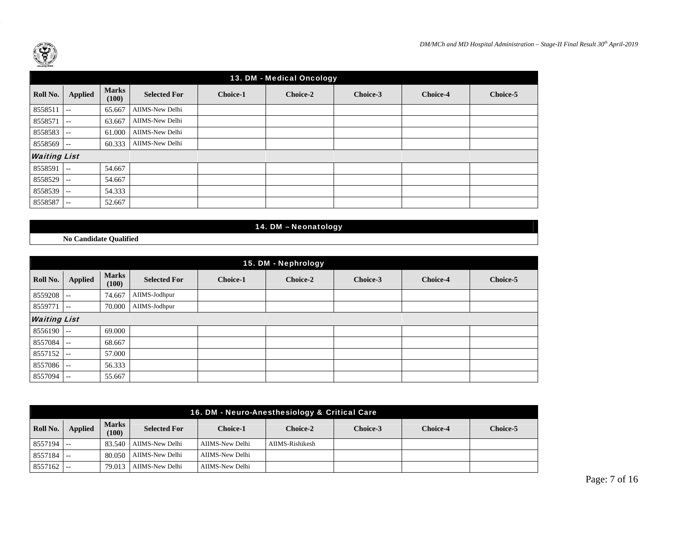

|                     | 13. DM - Medical Oncology |                       |                     |                 |          |          |          |          |  |  |  |
|---------------------|---------------------------|-----------------------|---------------------|-----------------|----------|----------|----------|----------|--|--|--|
| Roll No.            | <b>Applied</b>            | <b>Marks</b><br>(100) | <b>Selected For</b> | <b>Choice-1</b> | Choice-2 | Choice-3 | Choice-4 | Choice-5 |  |  |  |
| 8558511             | $-1$                      | 65.667                | AIIMS-New Delhi     |                 |          |          |          |          |  |  |  |
| 8558571             | $\sim$ $\sim$             | 63.667                | AIIMS-New Delhi     |                 |          |          |          |          |  |  |  |
| 8558583             | $\overline{\phantom{a}}$  | 61.000                | AIIMS-New Delhi     |                 |          |          |          |          |  |  |  |
| 8558569             | $- -$                     | 60.333                | AIIMS-New Delhi     |                 |          |          |          |          |  |  |  |
| <b>Waiting List</b> |                           |                       |                     |                 |          |          |          |          |  |  |  |
| 8558591             | $- -$                     | 54.667                |                     |                 |          |          |          |          |  |  |  |
| 8558529             | $- -$                     | 54.667                |                     |                 |          |          |          |          |  |  |  |
| 8558539             | $- -$                     | 54.333                |                     |                 |          |          |          |          |  |  |  |
| 8558587             | $- -$                     | 52.667                |                     |                 |          |          |          |          |  |  |  |

14. DM – Neonatology

**No Candidate Qualified** 

|              | 15. DM - Nephrology      |                       |                     |                 |          |          |                 |          |  |  |
|--------------|--------------------------|-----------------------|---------------------|-----------------|----------|----------|-----------------|----------|--|--|
| Roll No.     | <b>Applied</b>           | <b>Marks</b><br>(100) | <b>Selected For</b> | <b>Choice-1</b> | Choice-2 | Choice-3 | <b>Choice-4</b> | Choice-5 |  |  |
| 8559208      | $\sim$ $-$               | 74.667                | AIIMS-Jodhpur       |                 |          |          |                 |          |  |  |
| 8559771      | $\overline{\phantom{a}}$ | 70.000                | AIIMS-Jodhpur       |                 |          |          |                 |          |  |  |
|              | <b>Waiting List</b>      |                       |                     |                 |          |          |                 |          |  |  |
| $8556190$ -- |                          | 69.000                |                     |                 |          |          |                 |          |  |  |
| 8557084 --   |                          | 68.667                |                     |                 |          |          |                 |          |  |  |
| 8557152      | $\sim$ $-$               | 57.000                |                     |                 |          |          |                 |          |  |  |
| 8557086      | $\sim$ $-$               | 56.333                |                     |                 |          |          |                 |          |  |  |
| 8557094      | $\sim$ $\sim$            | 55.667                |                     |                 |          |          |                 |          |  |  |

|              | 16. DM - Neuro-Anesthesiology & Critical Care |                       |                     |                 |                 |          |                 |                 |  |  |  |
|--------------|-----------------------------------------------|-----------------------|---------------------|-----------------|-----------------|----------|-----------------|-----------------|--|--|--|
| Roll No.     | <b>Applied</b>                                | <b>Marks</b><br>(100) | <b>Selected For</b> | Choice-1        | Choice-2        | Choice-3 | <b>Choice-4</b> | <b>Choice-5</b> |  |  |  |
| $8557194$ -- |                                               | 83.540                | AIIMS-New Delhi     | AIIMS-New Delhi | AIIMS-Rishikesh |          |                 |                 |  |  |  |
| $8557184$ -- |                                               | 80.050                | AIIMS-New Delhi     | AIIMS-New Delhi |                 |          |                 |                 |  |  |  |
| $8557162$ -- |                                               | 79.013                | AIIMS-New Delhi     | AIIMS-New Delhi |                 |          |                 |                 |  |  |  |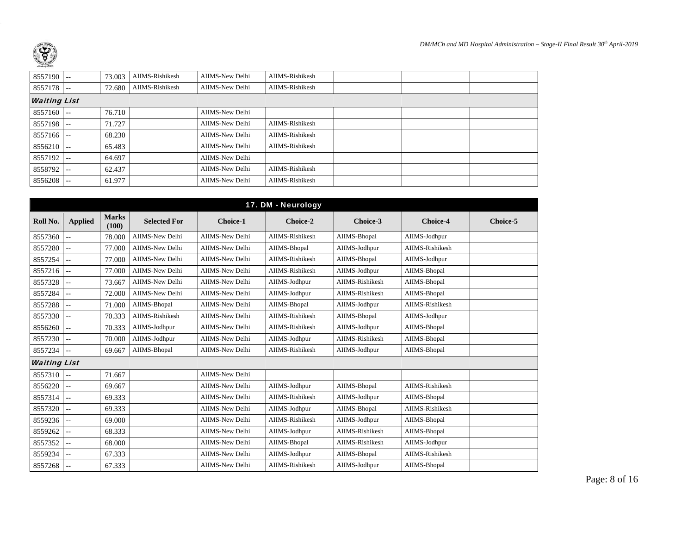| $8557190$ --<br>AIIMS-Rishikesh<br>AIIMS-Rishikesh<br>AIIMS-New Delhi<br>73.003<br>$8557178$ --<br>AIIMS-Rishikesh<br>AIIMS-New Delhi<br>AIIMS-Rishikesh<br>72.680<br><b>Waiting List</b><br>$8557160$ --<br>AIIMS-New Delhi<br>76.710<br>AIIMS-New Delhi<br>AIIMS-Rishikesh<br>71.727<br>$8557198$ --<br>AIIMS-New Delhi<br>AIIMS-Rishikesh<br>68.230<br>$8557166$ --<br>AIIMS-Rishikesh<br>$8556210$ --<br>65.483<br>AIIMS-New Delhi<br>8557192<br>AIIMS-New Delhi<br>64.697<br>$\sim$ $-$<br>AIIMS-New Delhi<br>AIIMS-Rishikesh<br>8558792<br>62.437<br>$- -$<br>61.977<br>AIIMS-Rishikesh<br>8556208<br>AIIMS-New Delhi<br>$- -$ |  |  |  |  |  |
|--------------------------------------------------------------------------------------------------------------------------------------------------------------------------------------------------------------------------------------------------------------------------------------------------------------------------------------------------------------------------------------------------------------------------------------------------------------------------------------------------------------------------------------------------------------------------------------------------------------------------------------|--|--|--|--|--|
|                                                                                                                                                                                                                                                                                                                                                                                                                                                                                                                                                                                                                                      |  |  |  |  |  |
|                                                                                                                                                                                                                                                                                                                                                                                                                                                                                                                                                                                                                                      |  |  |  |  |  |
|                                                                                                                                                                                                                                                                                                                                                                                                                                                                                                                                                                                                                                      |  |  |  |  |  |
|                                                                                                                                                                                                                                                                                                                                                                                                                                                                                                                                                                                                                                      |  |  |  |  |  |
|                                                                                                                                                                                                                                                                                                                                                                                                                                                                                                                                                                                                                                      |  |  |  |  |  |
|                                                                                                                                                                                                                                                                                                                                                                                                                                                                                                                                                                                                                                      |  |  |  |  |  |
|                                                                                                                                                                                                                                                                                                                                                                                                                                                                                                                                                                                                                                      |  |  |  |  |  |
|                                                                                                                                                                                                                                                                                                                                                                                                                                                                                                                                                                                                                                      |  |  |  |  |  |
|                                                                                                                                                                                                                                                                                                                                                                                                                                                                                                                                                                                                                                      |  |  |  |  |  |
|                                                                                                                                                                                                                                                                                                                                                                                                                                                                                                                                                                                                                                      |  |  |  |  |  |

|                     |                |                       |                        |                        | 17. DM - Neurology     |                 |                 |          |
|---------------------|----------------|-----------------------|------------------------|------------------------|------------------------|-----------------|-----------------|----------|
| Roll No.            | <b>Applied</b> | <b>Marks</b><br>(100) | <b>Selected For</b>    | <b>Choice-1</b>        | Choice-2               | Choice-3        | <b>Choice-4</b> | Choice-5 |
| 8557360             |                | 78,000                | <b>AIIMS-New Delhi</b> | <b>AIIMS-New Delhi</b> | <b>AIIMS-Rishikesh</b> | AIIMS-Bhopal    | AIIMS-Jodhpur   |          |
| 8557280             | $- -$          | 77.000                | <b>AIIMS-New Delhi</b> | <b>AIIMS-New Delhi</b> | AIIMS-Bhopal           | AIIMS-Jodhpur   | AIIMS-Rishikesh |          |
| 8557254             | $- -$          | 77.000                | <b>AIIMS-New Delhi</b> | <b>AIIMS-New Delhi</b> | <b>AIIMS-Rishikesh</b> | AIIMS-Bhopal    | AIIMS-Jodhpur   |          |
| 8557216             | $- -$          | 77.000                | AIIMS-New Delhi        | <b>AIIMS-New Delhi</b> | <b>AIIMS-Rishikesh</b> | AIIMS-Jodhpur   | AIIMS-Bhopal    |          |
| 8557328             | $-1$           | 73.667                | <b>AIIMS-New Delhi</b> | <b>AIIMS-New Delhi</b> | AIIMS-Jodhpur          | AIIMS-Rishikesh | AIIMS-Bhopal    |          |
| 8557284             | $-$            | 72.000                | <b>AIIMS-New Delhi</b> | AIIMS-New Delhi        | AIIMS-Jodhpur          | AIIMS-Rishikesh | AIIMS-Bhopal    |          |
| 8557288             |                | 71.000                | AIIMS-Bhopal           | <b>AIIMS-New Delhi</b> | AIIMS-Bhopal           | AIIMS-Jodhpur   | AIIMS-Rishikesh |          |
| 8557330             |                | 70.333                | AIIMS-Rishikesh        | <b>AIIMS-New Delhi</b> | AIIMS-Rishikesh        | AIIMS-Bhopal    | AIIMS-Jodhpur   |          |
| 8556260             | $\overline{a}$ | 70.333                | AIIMS-Jodhpur          | <b>AIIMS-New Delhi</b> | AIIMS-Rishikesh        | AIIMS-Jodhpur   | AIIMS-Bhopal    |          |
| 8557230             | $\overline{a}$ | 70.000                | AIIMS-Jodhpur          | <b>AIIMS-New Delhi</b> | AIIMS-Jodhpur          | AIIMS-Rishikesh | AIIMS-Bhopal    |          |
| 8557234             |                | 69.667                | AIIMS-Bhopal           | <b>AIIMS-New Delhi</b> | AIIMS-Rishikesh        | AIIMS-Jodhpur   | AIIMS-Bhopal    |          |
| <b>Waiting List</b> |                |                       |                        |                        |                        |                 |                 |          |
| 8557310             | $\overline{a}$ | 71.667                |                        | <b>AIIMS-New Delhi</b> |                        |                 |                 |          |
| 8556220             |                | 69.667                |                        | <b>AIIMS-New Delhi</b> | AIIMS-Jodhpur          | AIIMS-Bhopal    | AIIMS-Rishikesh |          |
| 8557314             | $-$            | 69.333                |                        | <b>AIIMS-New Delhi</b> | <b>AIIMS-Rishikesh</b> | AIIMS-Jodhpur   | AIIMS-Bhopal    |          |
| 8557320             | $-1$           | 69.333                |                        | <b>AIIMS-New Delhi</b> | AIIMS-Jodhpur          | AIIMS-Bhopal    | AIIMS-Rishikesh |          |
| 8559236             | $\overline{a}$ | 69.000                |                        | <b>AIIMS-New Delhi</b> | <b>AIIMS-Rishikesh</b> | AIIMS-Jodhpur   | AIIMS-Bhopal    |          |
| 8559262             |                | 68.333                |                        | <b>AIIMS-New Delhi</b> | AIIMS-Jodhpur          | AIIMS-Rishikesh | AIIMS-Bhopal    |          |
| 8557352             |                | 68.000                |                        | <b>AIIMS-New Delhi</b> | AIIMS-Bhopal           | AIIMS-Rishikesh | AIIMS-Jodhpur   |          |
| 8559234             |                | 67.333                |                        | <b>AIIMS-New Delhi</b> | AIIMS-Jodhpur          | AIIMS-Bhopal    | AIIMS-Rishikesh |          |
| 8557268             |                | 67.333                |                        | <b>AIIMS-New Delhi</b> | <b>AIIMS-Rishikesh</b> | AIIMS-Jodhpur   | AIIMS-Bhopal    |          |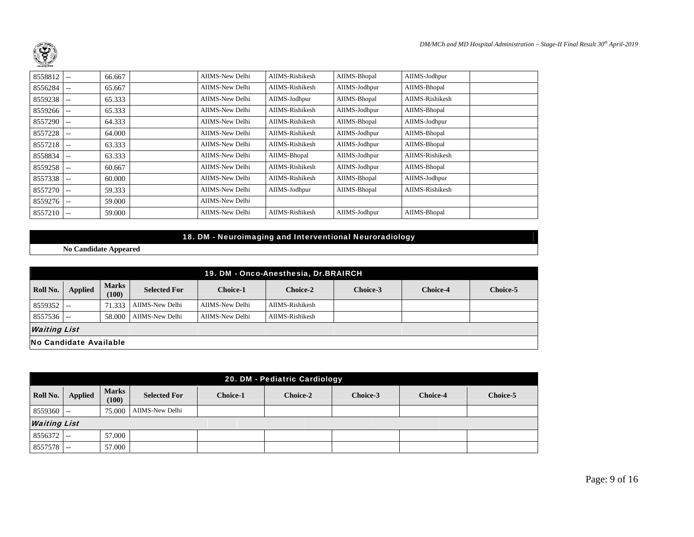

| 8558812 | $--$          | 66.667 | AIIMS-New Delhi | AIIMS-Rishikesh | AIIMS-Bhopal  | AIIMS-Jodhpur   |  |
|---------|---------------|--------|-----------------|-----------------|---------------|-----------------|--|
| 8556284 | $- -$         | 65.667 | AIIMS-New Delhi | AIIMS-Rishikesh | AIIMS-Jodhpur | AIIMS-Bhopal    |  |
| 8559238 | $\sim$ $-$    | 65.333 | AIIMS-New Delhi | AIIMS-Jodhpur   | AIIMS-Bhopal  | AIIMS-Rishikesh |  |
| 8559266 | $\frac{1}{2}$ | 65.333 | AIIMS-New Delhi | AIIMS-Rishikesh | AIIMS-Jodhpur | AIIMS-Bhopal    |  |
| 8557290 | $- -$         | 64.333 | AIIMS-New Delhi | AIIMS-Rishikesh | AIIMS-Bhopal  | AIIMS-Jodhpur   |  |
| 8557228 | $- -$         | 64.000 | AIIMS-New Delhi | AIIMS-Rishikesh | AIIMS-Jodhpur | AIIMS-Bhopal    |  |
| 8557218 | $\sim$ $-$    | 63.333 | AIIMS-New Delhi | AIIMS-Rishikesh | AIIMS-Jodhpur | AIIMS-Bhopal    |  |
| 8558834 | $- -$         | 63.333 | AIIMS-New Delhi | AIIMS-Bhopal    | AIIMS-Jodhpur | AIIMS-Rishikesh |  |
| 8559258 | $\frac{1}{2}$ | 60.667 | AIIMS-New Delhi | AIIMS-Rishikesh | AIIMS-Jodhpur | AIIMS-Bhopal    |  |
| 8557338 | $- -$         | 60.000 | AIIMS-New Delhi | AIIMS-Rishikesh | AIIMS-Bhopal  | AIIMS-Jodhpur   |  |
| 8557270 | $\frac{1}{2}$ | 59.333 | AIIMS-New Delhi | AIIMS-Jodhpur   | AIIMS-Bhopal  | AIIMS-Rishikesh |  |
| 8559276 | $\frac{1}{2}$ | 59.000 | AIIMS-New Delhi |                 |               |                 |  |
| 8557210 | $--$          | 59,000 | AIIMS-New Delhi | AIIMS-Rishikesh | AIIMS-Jodhpur | AIIMS-Bhopal    |  |

## 18. DM - Neuroimaging and Interventional Neuroradiology

**No Candidate Appeared** 

|                        | 19. DM - Onco-Anesthesia, Dr.BRAIRCH |                       |                     |                 |                 |          |                 |          |  |  |  |
|------------------------|--------------------------------------|-----------------------|---------------------|-----------------|-----------------|----------|-----------------|----------|--|--|--|
| Roll No.               | <b>Applied</b>                       | <b>Marks</b><br>(100) | <b>Selected For</b> | <b>Choice-1</b> | Choice-2        | Choice-3 | <b>Choice-4</b> | Choice-5 |  |  |  |
| $8559352$ --           |                                      | 71.333                | AIIMS-New Delhi     | AIIMS-New Delhi | AIIMS-Rishikesh |          |                 |          |  |  |  |
| $8557536$ --           |                                      | 58,000                | AIIMS-New Delhi     | AIIMS-New Delhi | AIIMS-Rishikesh |          |                 |          |  |  |  |
| <b>Waiting List</b>    |                                      |                       |                     |                 |                 |          |                 |          |  |  |  |
| No Candidate Available |                                      |                       |                     |                 |                 |          |                 |          |  |  |  |

|                                                                                                                                                             | 20. DM - Pediatric Cardiology |          |                 |  |  |  |  |  |  |  |  |
|-------------------------------------------------------------------------------------------------------------------------------------------------------------|-------------------------------|----------|-----------------|--|--|--|--|--|--|--|--|
| <b>Marks</b><br><b>Applied</b><br>Roll No.<br><b>Selected For</b><br><b>Choice-1</b><br><b>Choice-2</b><br>Choice-3<br>Choice-5<br><b>Choice-4</b><br>(100) |                               |          |                 |  |  |  |  |  |  |  |  |
| $8559360$ --                                                                                                                                                |                               | 75.000 l | AIIMS-New Delhi |  |  |  |  |  |  |  |  |
|                                                                                                                                                             | <b>Waiting List</b>           |          |                 |  |  |  |  |  |  |  |  |
| 8556372                                                                                                                                                     | $\overline{\phantom{m}}$      | 57.000   |                 |  |  |  |  |  |  |  |  |
| 8557578                                                                                                                                                     | $- -$                         | 57.000   |                 |  |  |  |  |  |  |  |  |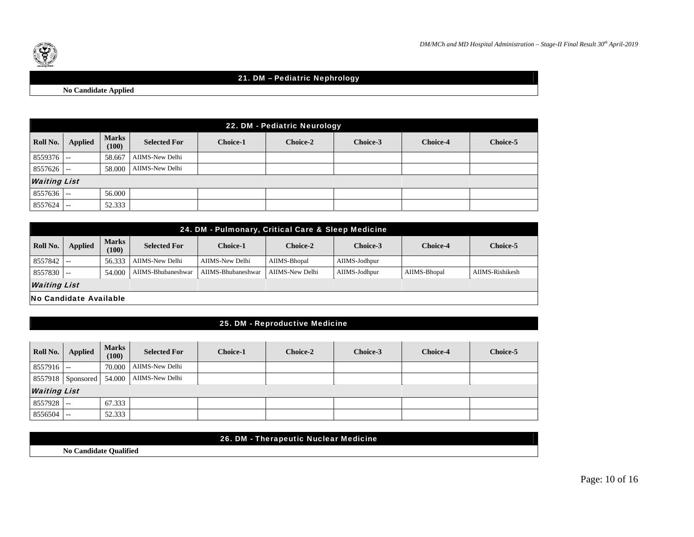



## 21. DM – Pediatric Nephrology

**No Candidate Applied** 

|              | 22. DM - Pediatric Neurology |                       |                     |                 |                 |          |                 |          |  |  |
|--------------|------------------------------|-----------------------|---------------------|-----------------|-----------------|----------|-----------------|----------|--|--|
| Roll No.     | <b>Applied</b>               | <b>Marks</b><br>(100) | <b>Selected For</b> | <b>Choice-1</b> | <b>Choice-2</b> | Choice-3 | <b>Choice-4</b> | Choice-5 |  |  |
| $8559376$ -- |                              | 58.667                | AIIMS-New Delhi     |                 |                 |          |                 |          |  |  |
| $8557626$ -- |                              | 58,000                | AIIMS-New Delhi     |                 |                 |          |                 |          |  |  |
|              | <b>Waiting List</b>          |                       |                     |                 |                 |          |                 |          |  |  |
| $8557636$ -- |                              | 56.000                |                     |                 |                 |          |                 |          |  |  |
| 8557624      | $\sim$ $-$                   | 52.333                |                     |                 |                 |          |                 |          |  |  |

|                                              | 24. DM - Pulmonary, Critical Care & Sleep Medicine |        |                     |                    |                 |               |                 |                 |  |  |  |  |
|----------------------------------------------|----------------------------------------------------|--------|---------------------|--------------------|-----------------|---------------|-----------------|-----------------|--|--|--|--|
| <b>Marks</b><br>Roll No.<br>Applied<br>(100) |                                                    |        | <b>Selected For</b> | <b>Choice-1</b>    | Choice-2        | Choice-3      | <b>Choice-4</b> | Choice-5        |  |  |  |  |
| $8557842$ --                                 |                                                    | 56.333 | AIIMS-New Delhi     | AIIMS-New Delhi    | AIIMS-Bhopal    | AIIMS-Jodhpur |                 |                 |  |  |  |  |
| $8557830$ --                                 |                                                    | 54.000 | AIIMS-Bhubaneshwar  | AIIMS-Bhubaneshwar | AIIMS-New Delhi | AIIMS-Jodhpur | AIIMS-Bhopal    | AIIMS-Rishikesh |  |  |  |  |
|                                              | <b>Waiting List</b>                                |        |                     |                    |                 |               |                 |                 |  |  |  |  |
|                                              | <b>No Candidate Available</b>                      |        |                     |                    |                 |               |                 |                 |  |  |  |  |

#### 25. DM - Reproductive Medicine

| Roll No.            | <b>Applied</b>           | <b>Marks</b><br>(100) | <b>Selected For</b> | <b>Choice-1</b> | Choice-2 | Choice-3 | <b>Choice-4</b> | <b>Choice-5</b> |
|---------------------|--------------------------|-----------------------|---------------------|-----------------|----------|----------|-----------------|-----------------|
| $8557916$ --        |                          | 70,000                | AIIMS-New Delhi     |                 |          |          |                 |                 |
|                     | 8557918 Sponsored 54.000 |                       | AIIMS-New Delhi     |                 |          |          |                 |                 |
| <b>Waiting List</b> |                          |                       |                     |                 |          |          |                 |                 |
| 8557928             | $\sim$ $-$               | 67.333                |                     |                 |          |          |                 |                 |
| 8556504             | $\sim$ $\sim$            | 52.333                |                     |                 |          |          |                 |                 |

|                               | 26. DM - Therapeutic Nuclear Medicine |
|-------------------------------|---------------------------------------|
| <b>No Candidate Qualified</b> |                                       |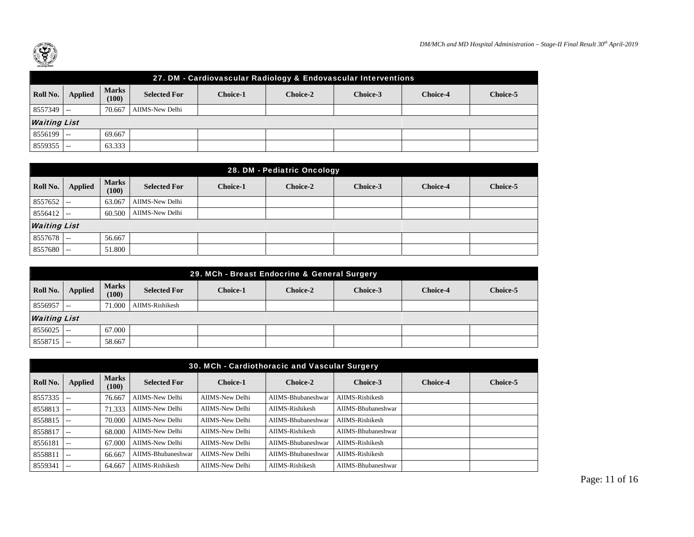

| 27. DM - Cardiovascular Radiology & Endovascular Interventions                                                                                |                     |        |                 |  |  |  |  |  |  |  |  |
|-----------------------------------------------------------------------------------------------------------------------------------------------|---------------------|--------|-----------------|--|--|--|--|--|--|--|--|
| <b>Marks</b><br>Roll No.<br>Applied<br><b>Selected For</b><br>Choice-5<br>Choice-3<br><b>Choice-4</b><br><b>Choice-1</b><br>Choice-2<br>(100) |                     |        |                 |  |  |  |  |  |  |  |  |
| $8557349$ --                                                                                                                                  |                     | 70.667 | AIIMS-New Delhi |  |  |  |  |  |  |  |  |
|                                                                                                                                               | <b>Waiting List</b> |        |                 |  |  |  |  |  |  |  |  |
| $8556199$ --<br>69.667                                                                                                                        |                     |        |                 |  |  |  |  |  |  |  |  |
| 8559355                                                                                                                                       |                     | 63.333 |                 |  |  |  |  |  |  |  |  |

|                     | 28. DM - Pediatric Oncology |                       |                     |                 |          |          |                 |          |  |  |  |
|---------------------|-----------------------------|-----------------------|---------------------|-----------------|----------|----------|-----------------|----------|--|--|--|
| Roll No.            | <b>Applied</b>              | <b>Marks</b><br>(100) | <b>Selected For</b> | <b>Choice-1</b> | Choice-2 | Choice-3 | <b>Choice-4</b> | Choice-5 |  |  |  |
| $8557652$ --        |                             | 63.067                | AIIMS-New Delhi     |                 |          |          |                 |          |  |  |  |
| $8556412$ --        |                             | 60.500                | AIIMS-New Delhi     |                 |          |          |                 |          |  |  |  |
| <b>Waiting List</b> |                             |                       |                     |                 |          |          |                 |          |  |  |  |
| $8557678$ --        |                             | 56.667                |                     |                 |          |          |                 |          |  |  |  |
| 8557680             | $- -$                       | 51.800                |                     |                 |          |          |                 |          |  |  |  |

|                                                                                                                                                             | 29. MCh - Breast Endocrine & General Surgery |        |                 |  |  |  |  |  |  |  |  |  |
|-------------------------------------------------------------------------------------------------------------------------------------------------------------|----------------------------------------------|--------|-----------------|--|--|--|--|--|--|--|--|--|
| <b>Marks</b><br>Roll No.<br><b>Applied</b><br><b>Selected For</b><br>Choice-5<br><b>Choice-1</b><br><b>Choice-2</b><br>Choice-3<br><b>Choice-4</b><br>(100) |                                              |        |                 |  |  |  |  |  |  |  |  |  |
| 8556957                                                                                                                                                     | - 1 - -                                      | 71.000 | AIIMS-Rishikesh |  |  |  |  |  |  |  |  |  |
|                                                                                                                                                             | <b>Waiting List</b>                          |        |                 |  |  |  |  |  |  |  |  |  |
| $8556025$ --                                                                                                                                                |                                              | 67.000 |                 |  |  |  |  |  |  |  |  |  |
| $8558715$ --                                                                                                                                                |                                              | 58.667 |                 |  |  |  |  |  |  |  |  |  |

|          | 30. MCh - Cardiothoracic and Vascular Surgery |                       |                     |                 |                    |                    |                 |          |  |  |  |  |
|----------|-----------------------------------------------|-----------------------|---------------------|-----------------|--------------------|--------------------|-----------------|----------|--|--|--|--|
| Roll No. | Applied                                       | <b>Marks</b><br>(100) | <b>Selected For</b> | <b>Choice-1</b> | Choice-2           | Choice-3           | <b>Choice-4</b> | Choice-5 |  |  |  |  |
| 8557335  | $- -$                                         | 76.667                | AIIMS-New Delhi     | AIIMS-New Delhi | AIIMS-Bhubaneshwar | AIIMS-Rishikesh    |                 |          |  |  |  |  |
| 8558813  | $- -$                                         | 71.333                | AIIMS-New Delhi     | AIIMS-New Delhi | AIIMS-Rishikesh    | AIIMS-Bhubaneshwar |                 |          |  |  |  |  |
| 8558815  | $- -$                                         | 70,000                | AIIMS-New Delhi     | AIIMS-New Delhi | AIIMS-Bhubaneshwar | AIIMS-Rishikesh    |                 |          |  |  |  |  |
| 8558817  | $\qquad \qquad -$                             | 68,000                | AIIMS-New Delhi     | AIIMS-New Delhi | AIIMS-Rishikesh    | AIIMS-Bhubaneshwar |                 |          |  |  |  |  |
| 8556181  | $- -$                                         | 67.000                | AIIMS-New Delhi     | AIIMS-New Delhi | AIIMS-Bhubaneshwar | AIIMS-Rishikesh    |                 |          |  |  |  |  |
| 8558811  | $- -$                                         | 66.667                | AIIMS-Bhubaneshwar  | AIIMS-New Delhi | AIIMS-Bhubaneshwar | AIIMS-Rishikesh    |                 |          |  |  |  |  |
| 8559341  | $- -$                                         | 64.667                | AIIMS-Rishikesh     | AIIMS-New Delhi | AIIMS-Rishikesh    | AIIMS-Bhubaneshwar |                 |          |  |  |  |  |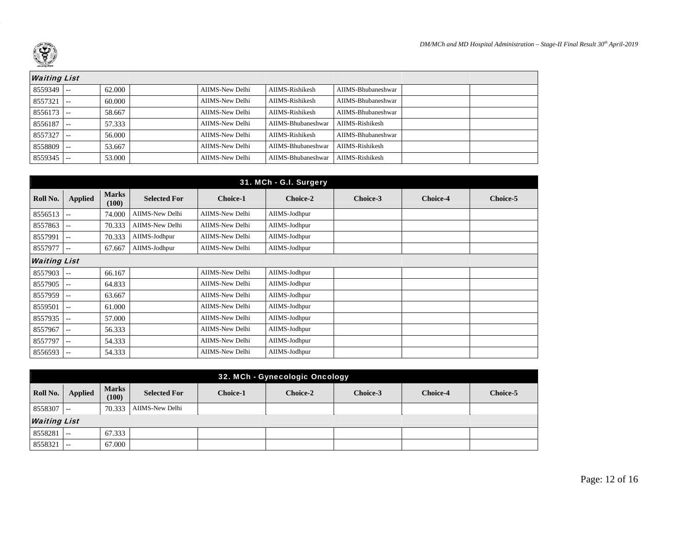

| <b>Waiting List</b> |            |        |                 |                    |                    |  |
|---------------------|------------|--------|-----------------|--------------------|--------------------|--|
| $8559349$ --        |            | 62.000 | AIIMS-New Delhi | AIIMS-Rishikesh    | AIIMS-Bhubaneshwar |  |
| $8557321$ --        |            | 60.000 | AIIMS-New Delhi | AIIMS-Rishikesh    | AIIMS-Bhubaneshwar |  |
| $8556173$ --        |            | 58.667 | AIIMS-New Delhi | AIIMS-Rishikesh    | AIIMS-Bhubaneshwar |  |
| 8556187             | l ==       | 57.333 | AIIMS-New Delhi | AIIMS-Bhubaneshwar | AIIMS-Rishikesh    |  |
| 8557327             | $\sim$ $-$ | 56.000 | AIIMS-New Delhi | AIIMS-Rishikesh    | AIIMS-Bhubaneshwar |  |
| $8558809$ --        |            | 53.667 | AIIMS-New Delhi | AIIMS-Bhubaneshwar | AIIMS-Rishikesh    |  |
| 8559345             | $- -$      | 53,000 | AIIMS-New Delhi | AIIMS-Bhubaneshwar | AIIMS-Rishikesh    |  |

|                     |                          |                       |                     |                 | 31. MCh - G.I. Surgery |          |                 |          |
|---------------------|--------------------------|-----------------------|---------------------|-----------------|------------------------|----------|-----------------|----------|
| Roll No.            | <b>Applied</b>           | <b>Marks</b><br>(100) | <b>Selected For</b> | <b>Choice-1</b> | Choice-2               | Choice-3 | <b>Choice-4</b> | Choice-5 |
| 8556513             | $- -$                    | 74.000                | AIIMS-New Delhi     | AIIMS-New Delhi | AIIMS-Jodhpur          |          |                 |          |
| 8557863             | $\overline{\phantom{m}}$ | 70.333                | AIIMS-New Delhi     | AIIMS-New Delhi | AIIMS-Jodhpur          |          |                 |          |
| 8557991             | $\sim$ $\sim$            | 70.333                | AIIMS-Jodhpur       | AIIMS-New Delhi | AIIMS-Jodhpur          |          |                 |          |
| 8557977             | $- -$                    | 67.667                | AIIMS-Jodhpur       | AIIMS-New Delhi | AIIMS-Jodhpur          |          |                 |          |
| <b>Waiting List</b> |                          |                       |                     |                 |                        |          |                 |          |
| 8557903             | $-$                      | 66.167                |                     | AIIMS-New Delhi | AIIMS-Jodhpur          |          |                 |          |
| 8557905             | $--$                     | 64.833                |                     | AIIMS-New Delhi | AIIMS-Jodhpur          |          |                 |          |
| 8557959             | $\qquad \qquad -$        | 63.667                |                     | AIIMS-New Delhi | AIIMS-Jodhpur          |          |                 |          |
| 8559501             | $\frac{1}{2}$            | 61.000                |                     | AIIMS-New Delhi | AIIMS-Jodhpur          |          |                 |          |
| 8557935             | $\overline{\phantom{m}}$ | 57.000                |                     | AIIMS-New Delhi | AIIMS-Jodhpur          |          |                 |          |
| 8557967             | $\sim$ $-$               | 56.333                |                     | AIIMS-New Delhi | AIIMS-Jodhpur          |          |                 |          |
| 8557797             | $- -$                    | 54.333                |                     | AIIMS-New Delhi | AIIMS-Jodhpur          |          |                 |          |
| 8556593             | $- -$                    | 54.333                |                     | AIIMS-New Delhi | AIIMS-Jodhpur          |          |                 |          |

|              | 32. MCh - Gynecologic Oncology |                       |                     |                 |          |          |                 |                 |  |  |  |  |
|--------------|--------------------------------|-----------------------|---------------------|-----------------|----------|----------|-----------------|-----------------|--|--|--|--|
| Roll No.     | <b>Applied</b>                 | <b>Marks</b><br>(100) | <b>Selected For</b> | <b>Choice-1</b> | Choice-2 | Choice-3 | <b>Choice-4</b> | <b>Choice-5</b> |  |  |  |  |
| $8558307$ -- |                                | 70.333                | AIIMS-New Delhi     |                 |          |          |                 |                 |  |  |  |  |
|              | <b>Waiting List</b>            |                       |                     |                 |          |          |                 |                 |  |  |  |  |
| 8558281      | $\frac{1}{2}$                  | 67.333                |                     |                 |          |          |                 |                 |  |  |  |  |
| 8558321      | $- -$                          | 67.000                |                     |                 |          |          |                 |                 |  |  |  |  |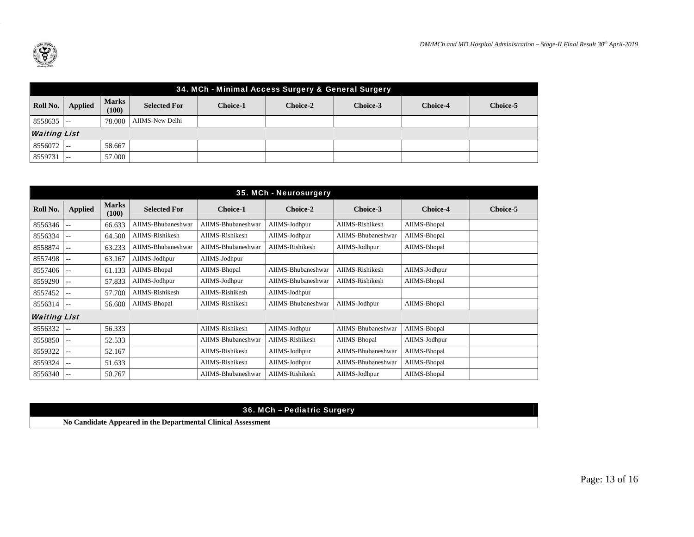

|              | 34. MCh - Minimal Access Surgery & General Surgery |                       |                     |                 |                 |          |                 |          |  |  |  |  |
|--------------|----------------------------------------------------|-----------------------|---------------------|-----------------|-----------------|----------|-----------------|----------|--|--|--|--|
| Roll No.     | <b>Applied</b>                                     | <b>Marks</b><br>(100) | <b>Selected For</b> | <b>Choice-1</b> | <b>Choice-2</b> | Choice-3 | <b>Choice-4</b> | Choice-5 |  |  |  |  |
| $8558635$ -- |                                                    | 78.000                | AIIMS-New Delhi     |                 |                 |          |                 |          |  |  |  |  |
|              | <b>Waiting List</b>                                |                       |                     |                 |                 |          |                 |          |  |  |  |  |
| $8556072$ -- |                                                    | 58.667                |                     |                 |                 |          |                 |          |  |  |  |  |
| $8559731$ -- |                                                    | 57.000                |                     |                 |                 |          |                 |          |  |  |  |  |

|                     |                |                       |                     |                    | 35. MCh - Neurosurgery |                    |                 |          |
|---------------------|----------------|-----------------------|---------------------|--------------------|------------------------|--------------------|-----------------|----------|
| Roll No.            | <b>Applied</b> | <b>Marks</b><br>(100) | <b>Selected For</b> | <b>Choice-1</b>    | Choice-2               | Choice-3           | <b>Choice-4</b> | Choice-5 |
| 8556346             | $-1$           | 66.633                | AIIMS-Bhubaneshwar  | AIIMS-Bhubaneshwar | AIIMS-Jodhpur          | AIIMS-Rishikesh    | AIIMS-Bhopal    |          |
| 8556334             | --             | 64.500                | AIIMS-Rishikesh     | AIIMS-Rishikesh    | AIIMS-Jodhpur          | AIIMS-Bhubaneshwar | AIIMS-Bhopal    |          |
| 8558874             | --             | 63.233                | AIIMS-Bhubaneshwar  | AIIMS-Bhubaneshwar | AIIMS-Rishikesh        | AIIMS-Jodhpur      | AIIMS-Bhopal    |          |
| 8557498             | $-1$           | 63.167                | AIIMS-Jodhpur       | AIIMS-Jodhpur      |                        |                    |                 |          |
| 8557406             | $- -$          | 61.133                | AIIMS-Bhopal        | AIIMS-Bhopal       | AIIMS-Bhubaneshwar     | AIIMS-Rishikesh    | AIIMS-Jodhpur   |          |
| 8559290             | $-1$           | 57.833                | AIIMS-Jodhpur       | AIIMS-Jodhpur      | AIIMS-Bhubaneshwar     | AIIMS-Rishikesh    | AIIMS-Bhopal    |          |
| 8557452             | --             | 57.700                | AIIMS-Rishikesh     | AIIMS-Rishikesh    | AIIMS-Jodhpur          |                    |                 |          |
| 8556314             | --             | 56.600                | AIIMS-Bhopal        | AIIMS-Rishikesh    | AIIMS-Bhubaneshwar     | AIIMS-Jodhpur      | AIIMS-Bhopal    |          |
| <b>Waiting List</b> |                |                       |                     |                    |                        |                    |                 |          |
| 8556332             | $-1$           | 56.333                |                     | AIIMS-Rishikesh    | AIIMS-Jodhpur          | AIIMS-Bhubaneshwar | AIIMS-Bhopal    |          |
| 8558850             | $-1$           | 52.533                |                     | AIIMS-Bhubaneshwar | AIIMS-Rishikesh        | AIIMS-Bhopal       | AIIMS-Jodhpur   |          |
| 8559322             | --             | 52.167                |                     | AIIMS-Rishikesh    | AIIMS-Jodhpur          | AIIMS-Bhubaneshwar | AIIMS-Bhopal    |          |
| 8559324             | ۰.             | 51.633                |                     | AIIMS-Rishikesh    | AIIMS-Jodhpur          | AIIMS-Bhubaneshwar | AIIMS-Bhopal    |          |
| 8556340             | --             | 50.767                |                     | AIIMS-Bhubaneshwar | AIIMS-Rishikesh        | AIIMS-Jodhpur      | AIIMS-Bhopal    |          |

| 36. MCh - Pediatric Surgery                                   |
|---------------------------------------------------------------|
| No Candidate Appeared in the Departmental Clinical Assessment |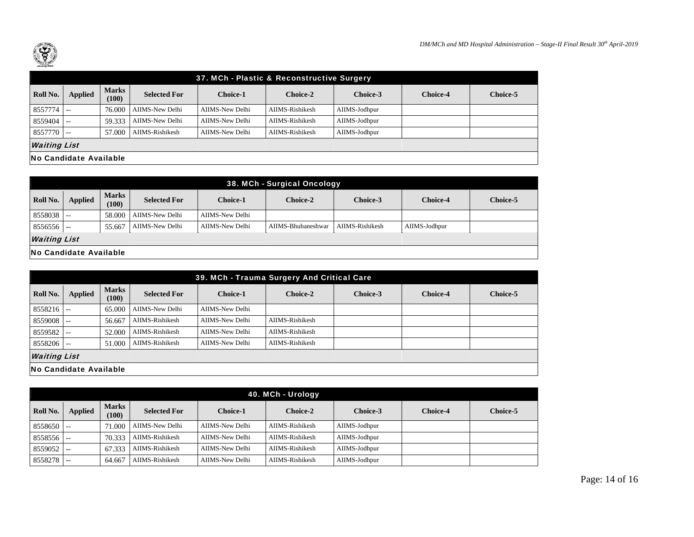

|                     | 37. MCh - Plastic & Reconstructive Surgery |                       |                     |                 |                 |               |                 |          |
|---------------------|--------------------------------------------|-----------------------|---------------------|-----------------|-----------------|---------------|-----------------|----------|
| Roll No.            | <b>Applied</b>                             | <b>Marks</b><br>(100) | <b>Selected For</b> | <b>Choice-1</b> | <b>Choice-2</b> | Choice-3      | <b>Choice-4</b> | Choice-5 |
| 8557774             | $- -$                                      | 76,000                | AIIMS-New Delhi     | AIIMS-New Delhi | AIIMS-Rishikesh | AIIMS-Jodhpur |                 |          |
| 8559404             | $- -$                                      | 59.333                | AIIMS-New Delhi     | AIIMS-New Delhi | AIIMS-Rishikesh | AIIMS-Jodhpur |                 |          |
| $8557770$ --        |                                            | 57.000                | AIIMS-Rishikesh     | AIIMS-New Delhi | AIIMS-Rishikesh | AIIMS-Jodhpur |                 |          |
| <b>Waiting List</b> |                                            |                       |                     |                 |                 |               |                 |          |
|                     | <b>No Candidate Available</b>              |                       |                     |                 |                 |               |                 |          |

|                        | 38. MCh - Surgical Oncology |                       |                     |                 |                    |                 |                 |                 |
|------------------------|-----------------------------|-----------------------|---------------------|-----------------|--------------------|-----------------|-----------------|-----------------|
| Roll No.               | <b>Applied</b>              | <b>Marks</b><br>(100) | <b>Selected For</b> | <b>Choice-1</b> | <b>Choice-2</b>    | Choice-3        | <b>Choice-4</b> | <b>Choice-5</b> |
| $8558038$ --           |                             | 58.000                | AIIMS-New Delhi     | AIIMS-New Delhi |                    |                 |                 |                 |
| $8556556$ --           |                             | 55.667                | AIIMS-New Delhi     | AIIMS-New Delhi | AIIMS-Bhubaneshwar | AIIMS-Rishikesh | AIIMS-Jodhpur   |                 |
| <b>Waiting List</b>    |                             |                       |                     |                 |                    |                 |                 |                 |
| No Candidate Available |                             |                       |                     |                 |                    |                 |                 |                 |

|                     | 39. MCh - Trauma Surgery And Critical Care |                       |                     |                 |                        |          |                 |          |
|---------------------|--------------------------------------------|-----------------------|---------------------|-----------------|------------------------|----------|-----------------|----------|
| Roll No.            | Applied                                    | <b>Marks</b><br>(100) | <b>Selected For</b> | <b>Choice-1</b> | Choice-2               | Choice-3 | <b>Choice-4</b> | Choice-5 |
| 8558216             | $\sim$ $-$                                 | 65,000                | AIIMS-New Delhi     | AIIMS-New Delhi |                        |          |                 |          |
| 8559008             | $- -$                                      | 56.667                | AIIMS-Rishikesh     | AIIMS-New Delhi | <b>AIIMS-Rishikesh</b> |          |                 |          |
| 8559582             | $- -$                                      | 52.000                | AIIMS-Rishikesh     | AIIMS-New Delhi | AIIMS-Rishikesh        |          |                 |          |
| 8558206             | $\sim$ $-$                                 | 51.000                | AIIMS-Rishikesh     | AIIMS-New Delhi | AIIMS-Rishikesh        |          |                 |          |
| <b>Waiting List</b> |                                            |                       |                     |                 |                        |          |                 |          |
|                     | No Candidate Available                     |                       |                     |                 |                        |          |                 |          |

|          | 40. MCh - Urology |                       |                     |                 |                 |               |                 |          |
|----------|-------------------|-----------------------|---------------------|-----------------|-----------------|---------------|-----------------|----------|
| Roll No. | <b>Applied</b>    | <b>Marks</b><br>(100) | <b>Selected For</b> | <b>Choice-1</b> | <b>Choice-2</b> | Choice-3      | <b>Choice-4</b> | Choice-5 |
| 8558650  | $- -$             | 71,000                | AIIMS-New Delhi     | AIIMS-New Delhi | AIIMS-Rishikesh | AIIMS-Jodhpur |                 |          |
| 8558556  | $- -$             | 70.333                | AIIMS-Rishikesh     | AIIMS-New Delhi | AIIMS-Rishikesh | AIIMS-Jodhpur |                 |          |
| 8559052  |                   | 67.333                | AIIMS-Rishikesh     | AIIMS-New Delhi | AIIMS-Rishikesh | AIIMS-Jodhpur |                 |          |
| 8558278  | $- -$             | 64.667                | AIIMS-Rishikesh     | AIIMS-New Delhi | AIIMS-Rishikesh | AIIMS-Jodhpur |                 |          |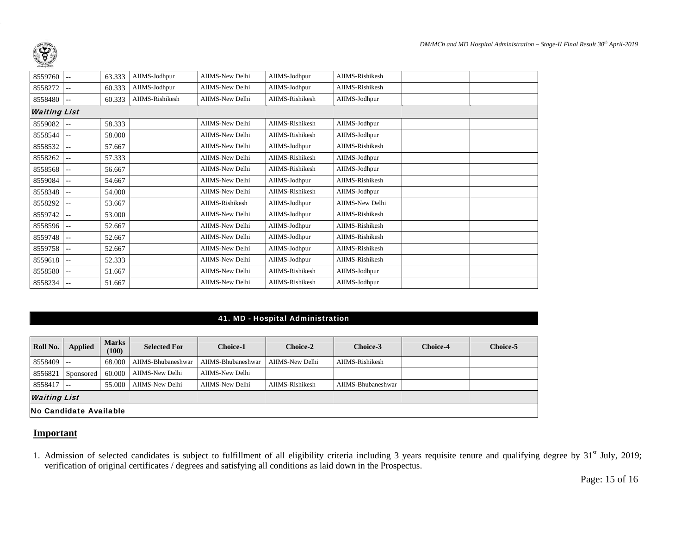

| 8559760             | $-$           | 63.333 | AIIMS-Jodhpur   | AIIMS-New Delhi | AIIMS-Jodhpur   | AIIMS-Rishikesh        |  |
|---------------------|---------------|--------|-----------------|-----------------|-----------------|------------------------|--|
| 8558272             | $-$           | 60.333 | AIIMS-Jodhpur   | AIIMS-New Delhi | AIIMS-Jodhpur   | AIIMS-Rishikesh        |  |
| 8558480             | $-$           | 60.333 | AIIMS-Rishikesh | AIIMS-New Delhi | AIIMS-Rishikesh | AIIMS-Jodhpur          |  |
| <b>Waiting List</b> |               |        |                 |                 |                 |                        |  |
| 8559082             | --            | 58.333 |                 | AIIMS-New Delhi | AIIMS-Rishikesh | AIIMS-Jodhpur          |  |
| 8558544             | $-$           | 58.000 |                 | AIIMS-New Delhi | AIIMS-Rishikesh | AIIMS-Jodhpur          |  |
| 8558532             | $-$           | 57.667 |                 | AIIMS-New Delhi | AIIMS-Jodhpur   | AIIMS-Rishikesh        |  |
| 8558262             | н.            | 57.333 |                 | AIIMS-New Delhi | AIIMS-Rishikesh | AIIMS-Jodhpur          |  |
| 8558568             | н.            | 56.667 |                 | AIIMS-New Delhi | AIIMS-Rishikesh | AIIMS-Jodhpur          |  |
| 8559084             | $-1$          | 54.667 |                 | AIIMS-New Delhi | AIIMS-Jodhpur   | AIIMS-Rishikesh        |  |
| 8558348             | $- -$         | 54.000 |                 | AIIMS-New Delhi | AIIMS-Rishikesh | AIIMS-Jodhpur          |  |
| 8558292             | $-$           | 53.667 |                 | AIIMS-Rishikesh | AIIMS-Jodhpur   | <b>AIIMS-New Delhi</b> |  |
| 8559742             | $-$           | 53.000 |                 | AIIMS-New Delhi | AIIMS-Jodhpur   | AIIMS-Rishikesh        |  |
| 8558596             | $\sim$ $\sim$ | 52.667 |                 | AIIMS-New Delhi | AIIMS-Jodhpur   | AIIMS-Rishikesh        |  |
| 8559748             | $-$           | 52.667 |                 | AIIMS-New Delhi | AIIMS-Jodhpur   | AIIMS-Rishikesh        |  |
| 8559758             | н.            | 52.667 |                 | AIIMS-New Delhi | AIIMS-Jodhpur   | AIIMS-Rishikesh        |  |
| 8559618             | $-$           | 52.333 |                 | AIIMS-New Delhi | AIIMS-Jodhpur   | AIIMS-Rishikesh        |  |
| 8558580             | $-$           | 51.667 |                 | AIIMS-New Delhi | AIIMS-Rishikesh | AIIMS-Jodhpur          |  |
| 8558234             | $-$           | 51.667 |                 | AIIMS-New Delhi | AIIMS-Rishikesh | AIIMS-Jodhpur          |  |

#### 41. MD - Hospital Administration

| Roll No.     | Applied                       | <b>Marks</b><br>(100) | <b>Selected For</b> | <b>Choice-1</b>    | <b>Choice-2</b> | Choice-3           | <b>Choice-4</b> | Choice-5 |
|--------------|-------------------------------|-----------------------|---------------------|--------------------|-----------------|--------------------|-----------------|----------|
| $8558409$ -- |                               | 68,000                | AIIMS-Bhubaneshwar  | AIIMS-Bhubaneshwar | AIIMS-New Delhi | AIIMS-Rishikesh    |                 |          |
| 8556821      | Sponsored                     | 60.000                | AIIMS-New Delhi     | AIIMS-New Delhi    |                 |                    |                 |          |
| 8558417      | $-$                           | 55,000                | AIIMS-New Delhi     | AIIMS-New Delhi    | AIIMS-Rishikesh | AIIMS-Bhubaneshwar |                 |          |
|              | <b>Waiting List</b>           |                       |                     |                    |                 |                    |                 |          |
|              | <b>No Candidate Available</b> |                       |                     |                    |                 |                    |                 |          |

#### **Important**

1. Admission of selected candidates is subject to fulfillment of all eligibility criteria including 3 years requisite tenure and qualifying degree by 31st July, 2019; verification of original certificates / degrees and satisfying all conditions as laid down in the Prospectus.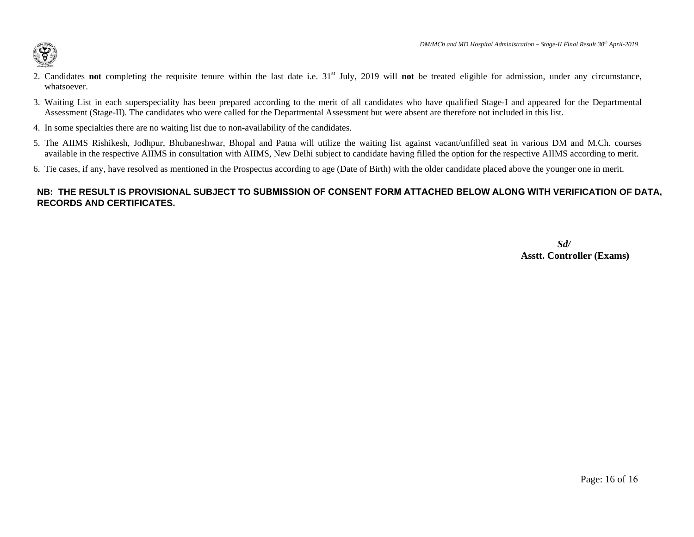

- 2. Candidates **not** completing the requisite tenure within the last date i.e. 31st July, 2019 will **not** be treated eligible for admission, under any circumstance, whatsoever.
- 3. Waiting List in each superspeciality has been prepared according to the merit of all candidates who have qualified Stage-I and appeared for the Departmental Assessment (Stage-II). The candidates who were called for the Departmental Assessment but were absent are therefore not included in this list.
- 4. In some specialties there are no waiting list due to non-availability of the candidates.
- 5. The AIIMS Rishikesh, Jodhpur, Bhubaneshwar, Bhopal and Patna will utilize the waiting list against vacant/unfilled seat in various DM and M.Ch. courses available in the respective AIIMS in consultation with AIIMS, New Delhi subject to candidate having filled the option for the respective AIIMS according to merit.
- 6. Tie cases, if any, have resolved as mentioned in the Prospectus according to age (Date of Birth) with the older candidate placed above the younger one in merit.

## **NB: THE RESULT IS PROVISIONAL SUBJECT TO SUBMISSION OF CONSENT FORM ATTACHED BELOW ALONG WITH VERIFICATION OF DATA, RECORDS AND CERTIFICATES.**

*Sd/*  **Asstt. Controller (Exams)**